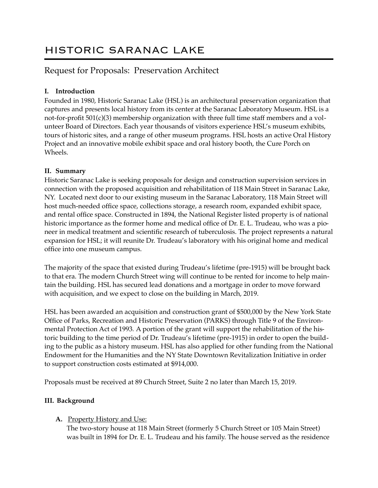# HISTORIC SARANAC LAKE

# Request for Proposals: Preservation Architect

# **I. Introduction**

Founded in 1980, Historic Saranac Lake (HSL) is an architectural preservation organization that captures and presents local history from its center at the Saranac Laboratory Museum. HSL is a not-for-profit 501(c)(3) membership organization with three full time staff members and a volunteer Board of Directors. Each year thousands of visitors experience HSL's museum exhibits, tours of historic sites, and a range of other museum programs. HSL hosts an active Oral History Project and an innovative mobile exhibit space and oral history booth, the Cure Porch on Wheels.

# **II. Summary**

Historic Saranac Lake is seeking proposals for design and construction supervision services in connection with the proposed acquisition and rehabilitation of 118 Main Street in Saranac Lake, NY. Located next door to our existing museum in the Saranac Laboratory, 118 Main Street will host much-needed office space, collections storage, a research room, expanded exhibit space, and rental office space. Constructed in 1894, the National Register listed property is of national historic importance as the former home and medical office of Dr. E. L. Trudeau, who was a pioneer in medical treatment and scientific research of tuberculosis. The project represents a natural expansion for HSL; it will reunite Dr. Trudeau's laboratory with his original home and medical office into one museum campus.

The majority of the space that existed during Trudeau's lifetime (pre-1915) will be brought back to that era. The modern Church Street wing will continue to be rented for income to help maintain the building. HSL has secured lead donations and a mortgage in order to move forward with acquisition, and we expect to close on the building in March, 2019.

HSL has been awarded an acquisition and construction grant of \$500,000 by the New York State Office of Parks, Recreation and Historic Preservation (PARKS) through Title 9 of the Environmental Protection Act of 1993*.* A portion of the grant will support the rehabilitation of the historic building to the time period of Dr. Trudeau's lifetime (pre-1915) in order to open the building to the public as a history museum. HSL has also applied for other funding from the National Endowment for the Humanities and the NY State Downtown Revitalization Initiative in order to support construction costs estimated at \$914,000.

Proposals must be received at 89 Church Street, Suite 2 no later than March 15, 2019.

# **III. Background**

# **A.** Property History and Use:

The two-story house at 118 Main Street (formerly 5 Church Street or 105 Main Street) was built in 1894 for Dr. E. L. Trudeau and his family. The house served as the residence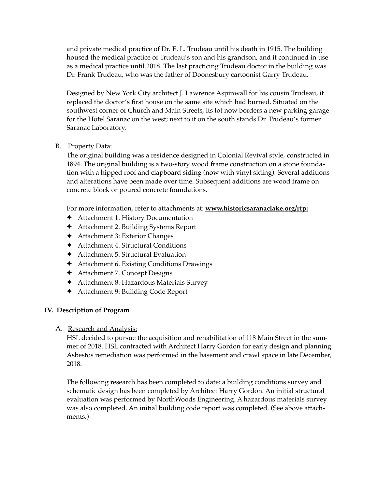and private medical practice of Dr. E. L. Trudeau until his death in 1915. The building housed the medical practice of Trudeau's son and his grandson, and it continued in use as a medical practice until 2018. The last practicing Trudeau doctor in the building was Dr. Frank Trudeau, who was the father of Doonesbury cartoonist Garry Trudeau.

Designed by New York City architect J. Lawrence Aspinwall for his cousin Trudeau, it replaced the doctor's first house on the same site which had burned. Situated on the southwest corner of Church and Main Streets, its lot now borders a new parking garage for the Hotel Saranac on the west; next to it on the south stands Dr. Trudeau's former Saranac Laboratory.

#### B. Property Data:

The original building was a residence designed in Colonial Revival style, constructed in 1894. The original building is a two-story wood frame construction on a stone foundation with a hipped roof and clapboard siding (now with vinyl siding). Several additions and alterations have been made over time. Subsequent additions are wood frame on concrete block or poured concrete foundations.

For more information, refer to attachments at: **www.historicsaranaclake.org/rfp:**

- ✦ Attachment 1. History Documentation
- ✦ Attachment 2. Building Systems Report
- ✦ Attachment 3: Exterior Changes
- ✦ Attachment 4. Structural Conditions
- ✦ Attachment 5. Structural Evaluation
- ✦ Attachment 6. Existing Conditions Drawings
- ✦ Attachment 7. Concept Designs
- ✦ Attachment 8. Hazardous Materials Survey
- ✦ Attachment 9: Building Code Report

#### **IV. Description of Program**

#### A. Research and Analysis:

HSL decided to pursue the acquisition and rehabilitation of 118 Main Street in the summer of 2018. HSL contracted with Architect Harry Gordon for early design and planning. Asbestos remediation was performed in the basement and crawl space in late December, 2018.

The following research has been completed to date: a building conditions survey and schematic design has been completed by Architect Harry Gordon. An initial structural evaluation was performed by NorthWoods Engineering. A hazardous materials survey was also completed. An initial building code report was completed. (See above attachments.)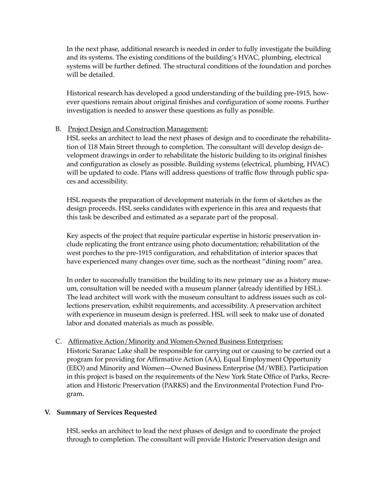In the next phase, additional research is needed in order to fully investigate the building and its systems. The existing conditions of the building's HVAC, plumbing, electrical systems will be further defined. The structural conditions of the foundation and porches will be detailed.

Historical research has developed a good understanding of the building pre-1915, however questions remain about original finishes and configuration of some rooms. Further investigation is needed to answer these questions as fully as possible.

#### B. Project Design and Construction Management:

HSL seeks an architect to lead the next phases of design and to coordinate the rehabilitation of 118 Main Street through to completion. The consultant will develop design development drawings in order to rehabilitate the historic building to its original finishes and configuration as closely as possible. Building systems (electrical, plumbing, HVAC) will be updated to code. Plans will address questions of traffic flow through public spaces and accessibility.

HSL requests the preparation of development materials in the form of sketches as the design proceeds. HSL seeks candidates with experience in this area and requests that this task be described and estimated as a separate part of the proposal.

Key aspects of the project that require particular expertise in historic preservation include replicating the front entrance using photo documentation; rehabilitation of the west porches to the pre-1915 configuration, and rehabilitation of interior spaces that have experienced many changes over time, such as the northeast "dining room" area.

In order to successfully transition the building to its new primary use as a history museum, consultation will be needed with a museum planner (already identified by HSL). The lead architect will work with the museum consultant to address issues such as collections preservation, exhibit requirements, and accessibility. A preservation architect with experience in museum design is preferred. HSL will seek to make use of donated labor and donated materials as much as possible.

#### C. Affirmative Action/Minority and Women-Owned Business Enterprises:

Historic Saranac Lake shall be responsible for carrying out or causing to be carried out a program for providing for Affirmative Action (AA), Equal Employment Opportunity (EEO) and Minority and Women—Owned Business Enterprise (M/WBE). Participation in this project is based on the requirements of the New York State Office of Parks, Recreation and Historic Preservation (PARKS) and the Environmental Protection Fund Program.

#### **V. Summary of Services Requested**

HSL seeks an architect to lead the next phases of design and to coordinate the project through to completion. The consultant will provide Historic Preservation design and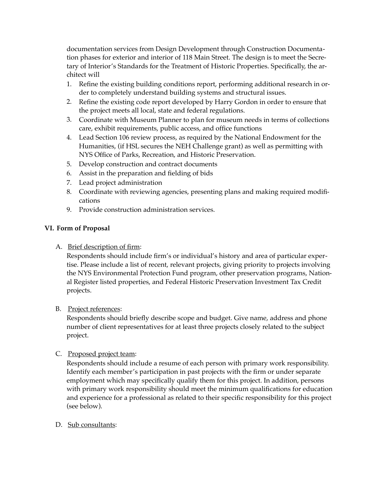documentation services from Design Development through Construction Documentation phases for exterior and interior of 118 Main Street. The design is to meet the Secretary of Interior's Standards for the Treatment of Historic Properties. Specifically, the architect will

- 1. Refine the existing building conditions report, performing additional research in order to completely understand building systems and structural issues.
- 2. Refine the existing code report developed by Harry Gordon in order to ensure that the project meets all local, state and federal regulations.
- 3. Coordinate with Museum Planner to plan for museum needs in terms of collections care, exhibit requirements, public access, and office functions
- 4. Lead Section 106 review process, as required by the National Endowment for the Humanities, (if HSL secures the NEH Challenge grant) as well as permitting with NYS Office of Parks, Recreation, and Historic Preservation.
- 5. Develop construction and contract documents
- 6. Assist in the preparation and fielding of bids
- 7. Lead project administration
- 8. Coordinate with reviewing agencies, presenting plans and making required modifications
- 9. Provide construction administration services.

#### **VI. Form of Proposal**

A. Brief description of firm:

Respondents should include firm's or individual's history and area of particular expertise. Please include a list of recent, relevant projects, giving priority to projects involving the NYS Environmental Protection Fund program, other preservation programs, National Register listed properties, and Federal Historic Preservation Investment Tax Credit projects.

#### B. Project references:

Respondents should briefly describe scope and budget. Give name, address and phone number of client representatives for at least three projects closely related to the subject project.

#### C. Proposed project team:

Respondents should include a resume of each person with primary work responsibility. Identify each member's participation in past projects with the firm or under separate employment which may specifically qualify them for this project. In addition, persons with primary work responsibility should meet the minimum qualifications for education and experience for a professional as related to their specific responsibility for this project (see below).

D. Sub consultants: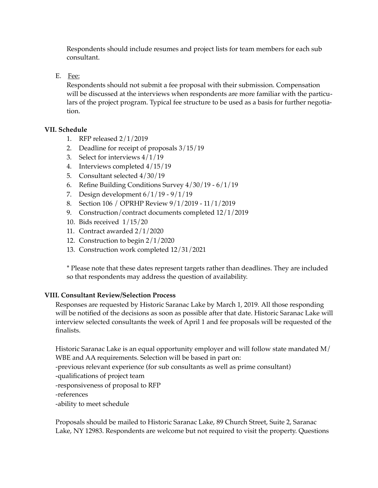Respondents should include resumes and project lists for team members for each sub consultant.

E. Fee:

Respondents should not submit a fee proposal with their submission. Compensation will be discussed at the interviews when respondents are more familiar with the particulars of the project program. Typical fee structure to be used as a basis for further negotiation.

#### **VII. Schedule**

- 1. RFP released 2/1/2019
- 2. Deadline for receipt of proposals 3/15/19
- 3. Select for interviews 4/1/19
- 4. Interviews completed 4/15/19
- 5. Consultant selected 4/30/19
- 6. Refine Building Conditions Survey 4/30/19 6/1/19
- 7. Design development  $6/1/19 9/1/19$
- 8. Section 106 / OPRHP Review 9/1/2019 11/1/2019
- 9. Construction/contract documents completed 12/1/2019
- 10. Bids received 1/15/20
- 11. Contract awarded 2/1/2020
- 12. Construction to begin 2/1/2020
- 13. Construction work completed 12/31/2021

\* Please note that these dates represent targets rather than deadlines. They are included so that respondents may address the question of availability.

#### **VIII. Consultant Review/Selection Process**

Responses are requested by Historic Saranac Lake by March 1, 2019*.* All those responding will be notified of the decisions as soon as possible after that date. Historic Saranac Lake will interview selected consultants the week of April 1 and fee proposals will be requested of the finalists.

Historic Saranac Lake is an equal opportunity employer and will follow state mandated M/ WBE and AA requirements. Selection will be based in part on:

-previous relevant experience (for sub consultants as well as prime consultant)

-qualifications of project team

-responsiveness of proposal to RFP

-references

-ability to meet schedule

Proposals should be mailed to Historic Saranac Lake, 89 Church Street, Suite 2, Saranac Lake, NY 12983. Respondents are welcome but not required to visit the property. Questions